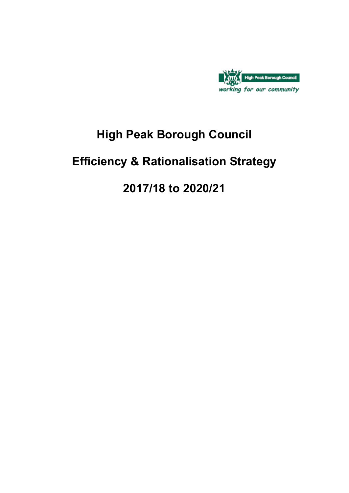

# **High Peak Borough Council**

# **Efficiency & Rationalisation Strategy**

# **2017/18 to 2020/21**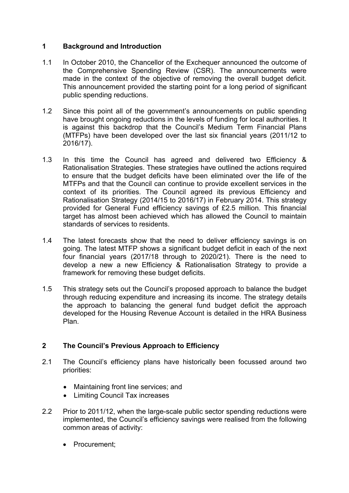## **1 Background and Introduction**

- 1.1 In October 2010, the Chancellor of the Exchequer announced the outcome of the Comprehensive Spending Review (CSR). The announcements were made in the context of the objective of removing the overall budget deficit. This announcement provided the starting point for a long period of significant public spending reductions.
- 1.2 Since this point all of the government's announcements on public spending have brought ongoing reductions in the levels of funding for local authorities. It is against this backdrop that the Council's Medium Term Financial Plans (MTFPs) have been developed over the last six financial years (2011/12 to 2016/17).
- 1.3 In this time the Council has agreed and delivered two Efficiency & Rationalisation Strategies. These strategies have outlined the actions required to ensure that the budget deficits have been eliminated over the life of the MTFPs and that the Council can continue to provide excellent services in the context of its priorities. The Council agreed its previous Efficiency and Rationalisation Strategy (2014/15 to 2016/17) in February 2014. This strategy provided for General Fund efficiency savings of £2.5 million. This financial target has almost been achieved which has allowed the Council to maintain standards of services to residents.
- 1.4 The latest forecasts show that the need to deliver efficiency savings is on going. The latest MTFP shows a significant budget deficit in each of the next four financial years (2017/18 through to 2020/21). There is the need to develop a new a new Efficiency & Rationalisation Strategy to provide a framework for removing these budget deficits.
- 1.5 This strategy sets out the Council's proposed approach to balance the budget through reducing expenditure and increasing its income. The strategy details the approach to balancing the general fund budget deficit the approach developed for the Housing Revenue Account is detailed in the HRA Business Plan.

## **2 The Council's Previous Approach to Efficiency**

- 2.1 The Council's efficiency plans have historically been focussed around two priorities:
	- Maintaining front line services; and
	- Limiting Council Tax increases
- 2.2 Prior to 2011/12, when the large-scale public sector spending reductions were implemented, the Council's efficiency savings were realised from the following common areas of activity:
	- Procurement;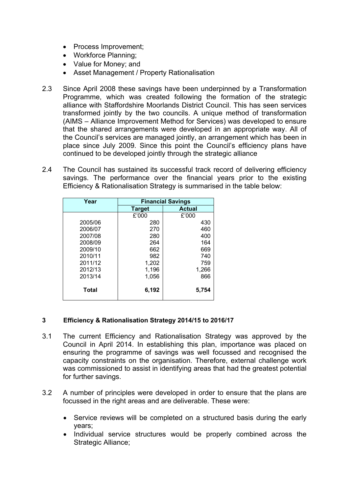- Process Improvement;
- Workforce Planning:
- Value for Money; and
- Asset Management / Property Rationalisation
- 2.3 Since April 2008 these savings have been underpinned by a Transformation Programme, which was created following the formation of the strategic alliance with Staffordshire Moorlands District Council. This has seen services transformed jointly by the two councils. A unique method of transformation (AIMS – Alliance Improvement Method for Services) was developed to ensure that the shared arrangements were developed in an appropriate way. All of the Council's services are managed jointly, an arrangement which has been in place since July 2009. Since this point the Council's efficiency plans have continued to be developed jointly through the strategic alliance
- 2.4 The Council has sustained its successful track record of delivering efficiency savings. The performance over the financial years prior to the existing Efficiency & Rationalisation Strategy is summarised in the table below:

| Year         | <b>Financial Savings</b> |               |  |  |  |
|--------------|--------------------------|---------------|--|--|--|
|              | <b>Target</b>            | <b>Actual</b> |  |  |  |
|              | £'000                    | £'000         |  |  |  |
| 2005/06      | 280                      | 430           |  |  |  |
| 2006/07      | 270                      | 460           |  |  |  |
| 2007/08      | 280                      | 400           |  |  |  |
| 2008/09      | 264                      | 164           |  |  |  |
| 2009/10      | 662                      | 669           |  |  |  |
| 2010/11      | 982                      | 740           |  |  |  |
| 2011/12      | 1,202                    | 759           |  |  |  |
| 2012/13      | 1,196                    | 1,266         |  |  |  |
| 2013/14      | 1,056                    | 866           |  |  |  |
| <b>Total</b> | 6,192                    | 5,754         |  |  |  |

#### **3 Efficiency & Rationalisation Strategy 2014/15 to 2016/17**

- 3.1 The current Efficiency and Rationalisation Strategy was approved by the Council in April 2014. In establishing this plan, importance was placed on ensuring the programme of savings was well focussed and recognised the capacity constraints on the organisation. Therefore, external challenge work was commissioned to assist in identifying areas that had the greatest potential for further savings.
- 3.2 A number of principles were developed in order to ensure that the plans are focussed in the right areas and are deliverable. These were:
	- Service reviews will be completed on a structured basis during the early years;
	- Individual service structures would be properly combined across the Strategic Alliance;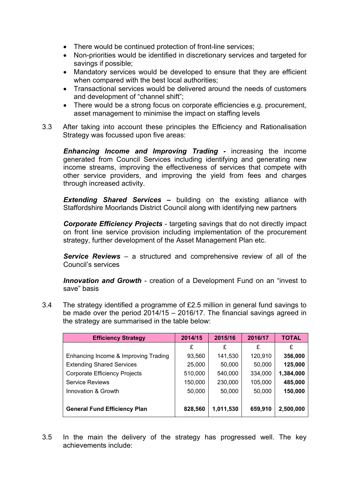- There would be continued protection of front-line services;
- Non-priorities would be identified in discretionary services and targeted for savings if possible;
- Mandatory services would be developed to ensure that they are efficient when compared with the best local authorities;
- Transactional services would be delivered around the needs of customers and development of "channel shift";
- There would be a strong focus on corporate efficiencies e.g. procurement, asset management to minimise the impact on staffing levels
- 3.3 After taking into account these principles the Efficiency and Rationalisation Strategy was focussed upon five areas:

*Enhancing Income and Improving Trading -* increasing the income generated from Council Services including identifying and generating new income streams, improving the effectiveness of services that compete with other service providers, and improving the yield from fees and charges through increased activity.

*Extending Shared Services –* building on the existing alliance with Staffordshire Moorlands District Council along with identifying new partners

*Corporate Efficiency Projects* - targeting savings that do not directly impact on front line service provision including implementation of the procurement strategy, further development of the Asset Management Plan etc.

*Service Reviews* – a structured and comprehensive review of all of the Council's services

*Innovation and Growth* - creation of a Development Fund on an "invest to save" basis

3.4 The strategy identified a programme of £2.5 million in general fund savings to be made over the period 2014/15 – 2016/17. The financial savings agreed in the strategy are summarised in the table below:

| <b>Efficiency Strategy</b>           | 2014/15 | 2015/16   | 2016/17 | <b>TOTAL</b> |
|--------------------------------------|---------|-----------|---------|--------------|
|                                      | £       | £         | £       | £            |
| Enhancing Income & Improving Trading | 93,560  | 141,530   | 120,910 | 356,000      |
| <b>Extending Shared Services</b>     | 25,000  | 50,000    | 50,000  | 125,000      |
| <b>Corporate Efficiency Projects</b> | 510,000 | 540,000   | 334,000 | 1,384,000    |
| <b>Service Reviews</b>               | 150,000 | 230,000   | 105,000 | 485,000      |
| Innovation & Growth                  | 50,000  | 50,000    | 50,000  | 150,000      |
| <b>General Fund Efficiency Plan</b>  | 828,560 | 1,011,530 | 659,910 | 2,500,000    |
|                                      |         |           |         |              |

3.5 In the main the delivery of the strategy has progressed well. The key achievements include: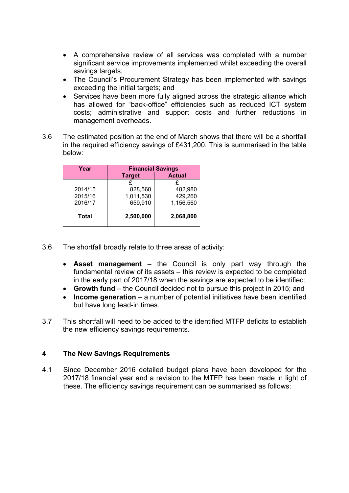- A comprehensive review of all services was completed with a number significant service improvements implemented whilst exceeding the overall savings targets;
- The Council's Procurement Strategy has been implemented with savings exceeding the initial targets; and
- Services have been more fully aligned across the strategic alliance which has allowed for "back-office" efficiencies such as reduced ICT system costs; administrative and support costs and further reductions in management overheads.
- 3.6 The estimated position at the end of March shows that there will be a shortfall in the required efficiency savings of £431,200. This is summarised in the table below:

| Year    | <b>Financial Savings</b> |               |  |  |  |  |  |
|---------|--------------------------|---------------|--|--|--|--|--|
|         | <b>Target</b>            | <b>Actual</b> |  |  |  |  |  |
|         | £                        |               |  |  |  |  |  |
| 2014/15 | 828,560                  | 482,980       |  |  |  |  |  |
| 2015/16 | 1,011,530                | 429,260       |  |  |  |  |  |
| 2016/17 | 659,910                  | 1,156,560     |  |  |  |  |  |
| Total   | 2,500,000                | 2,068,800     |  |  |  |  |  |

- 3.6 The shortfall broadly relate to three areas of activity:
	- **Asset management** the Council is only part way through the fundamental review of its assets – this review is expected to be completed in the early part of 2017/18 when the savings are expected to be identified;
	- **Growth fund** the Council decided not to pursue this project in 2015; and
	- **Income generation** a number of potential initiatives have been identified but have long lead-in times.
- 3.7 This shortfall will need to be added to the identified MTFP deficits to establish the new efficiency savings requirements.

#### **4 The New Savings Requirements**

4.1 Since December 2016 detailed budget plans have been developed for the 2017/18 financial year and a revision to the MTFP has been made in light of these. The efficiency savings requirement can be summarised as follows: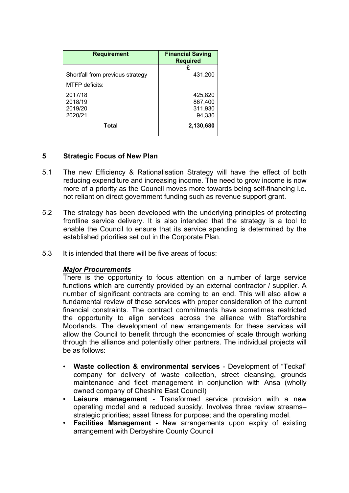| <b>Requirement</b>               | <b>Financial Saving</b><br><b>Required</b> |
|----------------------------------|--------------------------------------------|
| Shortfall from previous strategy | £                                          |
| MTFP deficits:                   | 431,200                                    |
| 2017/18                          | 425,820                                    |
| 2018/19                          | 867,400                                    |
| 2019/20                          | 311,930                                    |
| 2020/21                          | 94,330                                     |
| <b>Total</b>                     | 2,130,680                                  |

### **5 Strategic Focus of New Plan**

- 5.1 The new Efficiency & Rationalisation Strategy will have the effect of both reducing expenditure and increasing income. The need to grow income is now more of a priority as the Council moves more towards being self-financing i.e. not reliant on direct government funding such as revenue support grant.
- 5.2 The strategy has been developed with the underlying principles of protecting frontline service delivery. It is also intended that the strategy is a tool to enable the Council to ensure that its service spending is determined by the established priorities set out in the Corporate Plan.
- 5.3 It is intended that there will be five areas of focus:

#### *Major Procurements*

There is the opportunity to focus attention on a number of large service functions which are currently provided by an external contractor / supplier. A number of significant contracts are coming to an end. This will also allow a fundamental review of these services with proper consideration of the current financial constraints. The contract commitments have sometimes restricted the opportunity to align services across the alliance with Staffordshire Moorlands. The development of new arrangements for these services will allow the Council to benefit through the economies of scale through working through the alliance and potentially other partners. The individual projects will be as follows:

- **Waste collection & environmental services** Development of "Teckal" company for delivery of waste collection, street cleansing, grounds maintenance and fleet management in conjunction with Ansa (wholly owned company of Cheshire East Council)
- **Leisure management** Transformed service provision with a new operating model and a reduced subsidy. Involves three review streams– strategic priorities; asset fitness for purpose; and the operating model.
- **Facilities Management -** New arrangements upon expiry of existing arrangement with Derbyshire County Council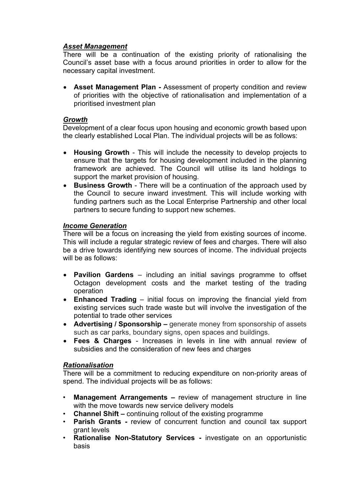## *Asset Management*

There will be a continuation of the existing priority of rationalising the Council's asset base with a focus around priorities in order to allow for the necessary capital investment.

 **Asset Management Plan -** Assessment of property condition and review of priorities with the objective of rationalisation and implementation of a prioritised investment plan

#### *Growth*

Development of a clear focus upon housing and economic growth based upon the clearly established Local Plan. The individual projects will be as follows:

- **Housing Growth** This will include the necessity to develop projects to ensure that the targets for housing development included in the planning framework are achieved. The Council will utilise its land holdings to support the market provision of housing.
- **Business Growth** There will be a continuation of the approach used by the Council to secure inward investment. This will include working with funding partners such as the Local Enterprise Partnership and other local partners to secure funding to support new schemes.

#### *Income Generation*

There will be a focus on increasing the yield from existing sources of income. This will include a regular strategic review of fees and charges. There will also be a drive towards identifying new sources of income. The individual projects will be as follows:

- **Pavilion Gardens** including an initial savings programme to offset Octagon development costs and the market testing of the trading operation
- **Enhanced Trading** initial focus on improving the financial yield from existing services such trade waste but will involve the investigation of the potential to trade other services
- **Advertising / Sponsorship –** generate money from sponsorship of assets such as car parks, boundary signs, open spaces and buildings.
- **Fees & Charges** Increases in levels in line with annual review of subsidies and the consideration of new fees and charges

#### *Rationalisation*

There will be a commitment to reducing expenditure on non-priority areas of spend. The individual projects will be as follows:

- **Management Arrangements –** review of management structure in line with the move towards new service delivery models
- **Channel Shift –** continuing rollout of the existing programme
- **Parish Grants -** review of concurrent function and council tax support grant levels
- **Rationalise Non-Statutory Services -** investigate on an opportunistic basis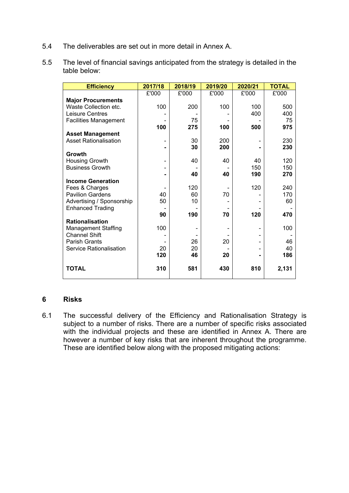5.4 The deliverables are set out in more detail in Annex A.

| 5.5 | The level of financial savings anticipated from the strategy is detailed in the |
|-----|---------------------------------------------------------------------------------|
|     | table below:                                                                    |

| <b>Efficiency</b>            | 2017/18 | 2018/19 | 2019/20 | 2020/21 | <b>TOTAL</b> |
|------------------------------|---------|---------|---------|---------|--------------|
|                              | £'000   | £'000   | £'000   | £'000   | £'000        |
| <b>Major Procurements</b>    |         |         |         |         |              |
| Waste Collection etc.        | 100     | 200     | 100     | 100     | 500          |
| Leisure Centres              |         |         |         | 400     | 400          |
| <b>Facilities Management</b> |         | 75      |         |         | 75           |
|                              | 100     | 275     | 100     | 500     | 975          |
| <b>Asset Management</b>      |         |         |         |         |              |
| <b>Asset Rationalisation</b> |         | 30      | 200     |         | 230          |
|                              |         | 30      | 200     |         | 230          |
| Growth                       |         |         |         |         |              |
| <b>Housing Growth</b>        |         | 40      | 40      | 40      | 120          |
| <b>Business Growth</b>       |         |         |         | 150     | 150          |
|                              |         | 40      | 40      | 190     | 270          |
| <b>Income Generation</b>     |         |         |         |         |              |
| Fees & Charges               |         | 120     |         | 120     | 240          |
| <b>Pavilion Gardens</b>      | 40      | 60      | 70      |         | 170          |
| Advertising / Sponsorship    | 50      | 10      |         |         | 60           |
| <b>Enhanced Trading</b>      |         |         |         |         |              |
|                              | 90      | 190     | 70      | 120     | 470          |
| <b>Rationalisation</b>       |         |         |         |         |              |
| <b>Management Staffing</b>   | 100     |         |         |         | 100          |
| <b>Channel Shift</b>         |         |         |         |         |              |
| <b>Parish Grants</b>         |         | 26      | 20      |         | 46           |
| Service Rationalisation      | 20      | 20      |         |         | 40           |
|                              | 120     | 46      | 20      |         | 186          |
| <b>TOTAL</b>                 | 310     | 581     | 430     | 810     | 2,131        |

#### **6 Risks**

6.1 The successful delivery of the Efficiency and Rationalisation Strategy is subject to a number of risks. There are a number of specific risks associated with the individual projects and these are identified in Annex A. There are however a number of key risks that are inherent throughout the programme. These are identified below along with the proposed mitigating actions: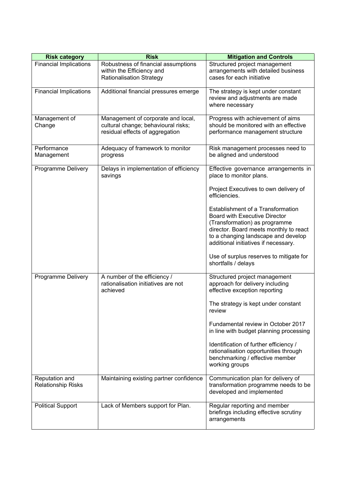| <b>Risk category</b>                        | <b>Risk</b>                                                                                                  | <b>Mitigation and Controls</b>                                                                                                                                                                                                      |
|---------------------------------------------|--------------------------------------------------------------------------------------------------------------|-------------------------------------------------------------------------------------------------------------------------------------------------------------------------------------------------------------------------------------|
| <b>Financial Implications</b>               | Robustness of financial assumptions<br>within the Efficiency and<br><b>Rationalisation Strategy</b>          | Structured project management<br>arrangements with detailed business<br>cases for each initiative                                                                                                                                   |
| <b>Financial Implications</b>               | Additional financial pressures emerge                                                                        | The strategy is kept under constant<br>review and adjustments are made<br>where necessary                                                                                                                                           |
| Management of<br>Change                     | Management of corporate and local,<br>cultural change; behavioural risks;<br>residual effects of aggregation | Progress with achievement of aims<br>should be monitored with an effective<br>performance management structure                                                                                                                      |
| Performance<br>Management                   | Adequacy of framework to monitor<br>progress                                                                 | Risk management processes need to<br>be aligned and understood                                                                                                                                                                      |
| Programme Delivery                          | Delays in implementation of efficiency<br>savings                                                            | Effective governance arrangements in<br>place to monitor plans.                                                                                                                                                                     |
|                                             |                                                                                                              | Project Executives to own delivery of<br>efficiencies.                                                                                                                                                                              |
|                                             |                                                                                                              | Establishment of a Transformation<br><b>Board with Executive Director</b><br>(Transformation) as programme<br>director. Board meets monthly to react<br>to a changing landscape and develop<br>additional initiatives if necessary. |
|                                             |                                                                                                              | Use of surplus reserves to mitigate for<br>shortfalls / delays                                                                                                                                                                      |
| Programme Delivery                          | A number of the efficiency /<br>rationalisation initiatives are not<br>achieved                              | Structured project management<br>approach for delivery including<br>effective exception reporting                                                                                                                                   |
|                                             |                                                                                                              | The strategy is kept under constant<br>review                                                                                                                                                                                       |
|                                             |                                                                                                              | Fundamental review in October 2017<br>in line with budget planning processing                                                                                                                                                       |
|                                             |                                                                                                              | Identification of further efficiency /<br>rationalisation opportunities through<br>benchmarking / effective member<br>working groups                                                                                                |
| Reputation and<br><b>Relationship Risks</b> | Maintaining existing partner confidence                                                                      | Communication plan for delivery of<br>transformation programme needs to be<br>developed and implemented                                                                                                                             |
| <b>Political Support</b>                    | Lack of Members support for Plan.                                                                            | Regular reporting and member<br>briefings including effective scrutiny<br>arrangements                                                                                                                                              |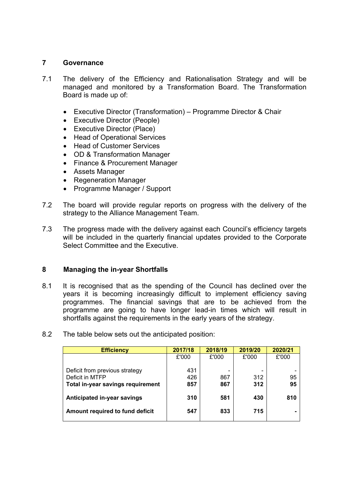### **7 Governance**

- 7.1 The delivery of the Efficiency and Rationalisation Strategy and will be managed and monitored by a Transformation Board. The Transformation Board is made up of:
	- Executive Director (Transformation) Programme Director & Chair
	- Executive Director (People)
	- Executive Director (Place)
	- Head of Operational Services
	- Head of Customer Services
	- OD & Transformation Manager
	- Finance & Procurement Manager
	- Assets Manager
	- Regeneration Manager
	- Programme Manager / Support
- 7.2 The board will provide regular reports on progress with the delivery of the strategy to the Alliance Management Team.
- 7.3 The progress made with the delivery against each Council's efficiency targets will be included in the quarterly financial updates provided to the Corporate Select Committee and the Executive.

#### **8 Managing the in-year Shortfalls**

8.1 It is recognised that as the spending of the Council has declined over the years it is becoming increasingly difficult to implement efficiency saving programmes. The financial savings that are to be achieved from the programme are going to have longer lead-in times which will result in shortfalls against the requirements in the early years of the strategy.

| <b>Efficiency</b>                                 | 2017/18 | 2018/19 | 2019/20 | 2020/21 |
|---------------------------------------------------|---------|---------|---------|---------|
|                                                   | £'000   | £'000   | £'000   | £'000   |
|                                                   | 431     |         |         |         |
| Deficit from previous strategy<br>Deficit in MTFP | 426     | 867     | 312     | 95      |
| Total in-year savings requirement                 | 857     | 867     | 312     | 95      |
|                                                   |         |         |         |         |
| Anticipated in-year savings                       | 310     | 581     | 430     | 810     |
|                                                   |         |         |         |         |
| Amount required to fund deficit                   | 547     | 833     | 715     |         |
|                                                   |         |         |         |         |

8.2 The table below sets out the anticipated position: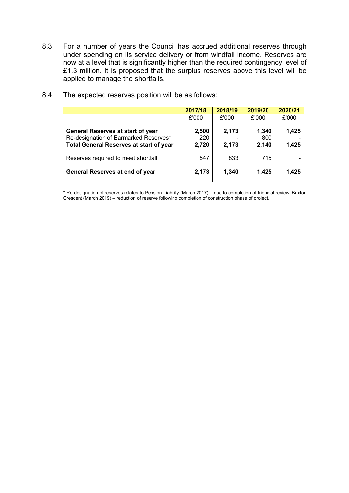8.3 For a number of years the Council has accrued additional reserves through under spending on its service delivery or from windfall income. Reserves are now at a level that is significantly higher than the required contingency level of £1.3 million. It is proposed that the surplus reserves above this level will be applied to manage the shortfalls.

|                                                                                                                                     | 2017/18               | 2018/19        | 2019/20               | 2020/21        |
|-------------------------------------------------------------------------------------------------------------------------------------|-----------------------|----------------|-----------------------|----------------|
|                                                                                                                                     | £'000                 | £'000          | £'000                 | £'000          |
| <b>General Reserves at start of year</b><br>Re-designation of Earmarked Reserves*<br><b>Total General Reserves at start of year</b> | 2,500<br>220<br>2,720 | 2,173<br>2,173 | 1,340<br>800<br>2,140 | 1,425<br>1,425 |
| Reserves required to meet shortfall                                                                                                 | 547                   | 833            | 715                   |                |
| General Reserves at end of year                                                                                                     | 2,173                 | 1,340          | 1,425                 | 1,425          |

8.4 The expected reserves position will be as follows:

\* Re-designation of reserves relates to Pension Liability (March 2017) – due to completion of triennial review; Buxton Crescent (March 2019) – reduction of reserve following completion of construction phase of project.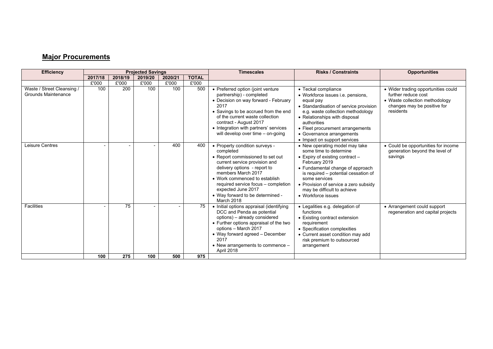# **Major Procurements**

| <b>Efficiency</b>                                        | <b>Projected Savings</b> |         |         | <b>Timescales</b>        | <b>Risks / Constraints</b> | <b>Opportunities</b>                                                                                                                                                                                                                                                                                                   |                                                                                                                                                                                                                                                                                                         |                                                                                                                                          |
|----------------------------------------------------------|--------------------------|---------|---------|--------------------------|----------------------------|------------------------------------------------------------------------------------------------------------------------------------------------------------------------------------------------------------------------------------------------------------------------------------------------------------------------|---------------------------------------------------------------------------------------------------------------------------------------------------------------------------------------------------------------------------------------------------------------------------------------------------------|------------------------------------------------------------------------------------------------------------------------------------------|
|                                                          | 2017/18                  | 2018/19 | 2019/20 | 2020/21                  | <b>TOTAL</b>               |                                                                                                                                                                                                                                                                                                                        |                                                                                                                                                                                                                                                                                                         |                                                                                                                                          |
|                                                          | £'000                    | £'000   | £'000   | £'000                    | £'000                      |                                                                                                                                                                                                                                                                                                                        |                                                                                                                                                                                                                                                                                                         |                                                                                                                                          |
| Waste / Street Cleansing /<br><b>Grounds Maintenance</b> | 100                      | 200     | 100     | 100                      | 500                        | • Preferred option (joint venture<br>partnership) - completed<br>• Decision on way forward - February<br>2017<br>• Savings to be accrued from the end<br>of the current waste collection<br>contract - August 2017<br>• Integration with partners' services<br>will develop over time - on-going                       | • Teckal compliance<br>• Workforce issues i.e. pensions.<br>equal pay<br>• Standardisation of service provision<br>e.g. waste collection methodology<br>• Relationships with disposal<br>authorities<br>• Fleet procurement arrangements<br>• Governance arrangements<br>• Impact on support services   | • Wider trading opportunities could<br>further reduce cost<br>• Waste collection methodology<br>changes may be positive for<br>residents |
| Leisure Centres                                          |                          |         |         | 400                      | 400                        | • Property condition surveys -<br>completed<br>• Report commissioned to set out<br>current service provision and<br>delivery options - report to<br>members March 2017<br>• Work commenced to establish<br>required service focus - completion<br>expected June 2017<br>• Way forward to be determined -<br>March 2018 | • New operating model may take<br>some time to determine<br>• Expiry of existing contract -<br>February 2019<br>• Fundamental change of approach<br>is required – potential cessation of<br>some services<br>• Provision of service a zero subsidy<br>may be difficult to achieve<br>• Workforce issues | • Could be opportunities for income<br>generation beyond the level of<br>savings                                                         |
| <b>Facilities</b>                                        |                          | 75      |         | $\overline{\phantom{a}}$ | 75                         | • Initial options appraisal (identifying<br>DCC and Penda as potential<br>options) - already considered<br>• Further options appraisal of the two<br>options - March 2017<br>• Way forward agreed - December<br>2017<br>• New arrangements to commence -<br>April 2018                                                 | • Legalities e.g. delegation of<br>functions<br>• Existing contract extension<br>requirement<br>• Specification complexities<br>• Current asset condition may add<br>risk premium to outsourced<br>arrangement                                                                                          | • Arrangement could support<br>regeneration and capital projects                                                                         |
|                                                          | 100                      | 275     | 100     | 500                      | 975                        |                                                                                                                                                                                                                                                                                                                        |                                                                                                                                                                                                                                                                                                         |                                                                                                                                          |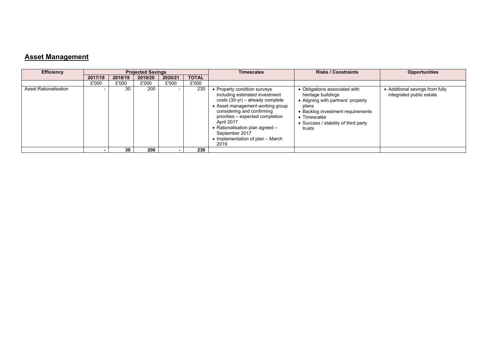## **Asset Management**

| <b>Efficiency</b>            | <b>Projected Savings</b> |         |         |                          | <b>Timescales</b> | <b>Risks / Constraints</b>                                                                                                                                                                                                                                                                                                   | <b>Opportunities</b>                                                                                                                                                                                      |                                                             |
|------------------------------|--------------------------|---------|---------|--------------------------|-------------------|------------------------------------------------------------------------------------------------------------------------------------------------------------------------------------------------------------------------------------------------------------------------------------------------------------------------------|-----------------------------------------------------------------------------------------------------------------------------------------------------------------------------------------------------------|-------------------------------------------------------------|
|                              | 2017/18                  | 2018/19 | 2019/20 | 2020/21                  | <b>TOTAL</b>      |                                                                                                                                                                                                                                                                                                                              |                                                                                                                                                                                                           |                                                             |
|                              | £'000                    | £'000   | £'000   | £'000                    | £'000             |                                                                                                                                                                                                                                                                                                                              |                                                                                                                                                                                                           |                                                             |
| <b>Asset Rationalisation</b> |                          | 30      | 200     | $\overline{\phantom{0}}$ | 230               | • Property condition surveys<br>including estimated investment<br>$costs(30-yr)$ – already complete<br>• Asset management working group<br>considering and confirming<br>priorities – expected completion<br>April 2017<br>• Rationalisation plan agreed $-$<br>September 2017<br>• Implementation of plan $-$ March<br>2019 | • Obligations associated with<br>heritage buildings<br>• Aligning with partners' property<br>plans<br>• Backlog investment requirements<br>• Timescales<br>• Success / stability of third party<br>trusts | • Additional savings from fully<br>integrated public estate |
|                              |                          | 30      | 200     |                          | 230               |                                                                                                                                                                                                                                                                                                                              |                                                                                                                                                                                                           |                                                             |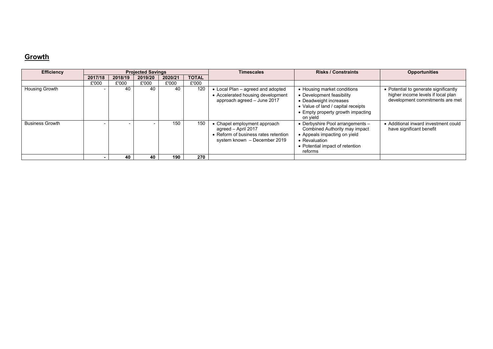# **Growth**

| <b>Efficiency</b>      | <b>Projected Savings</b> |         |         |         | <b>Timescales</b> | <b>Risks / Constraints</b>                                                                                                | <b>Opportunities</b>                                                                                                                                                      |                                                                                                                |
|------------------------|--------------------------|---------|---------|---------|-------------------|---------------------------------------------------------------------------------------------------------------------------|---------------------------------------------------------------------------------------------------------------------------------------------------------------------------|----------------------------------------------------------------------------------------------------------------|
|                        | 2017/18                  | 2018/19 | 2019/20 | 2020/21 | <b>TOTAL</b>      |                                                                                                                           |                                                                                                                                                                           |                                                                                                                |
|                        | £'000                    | £'000   | £'000   | £'000   | £'000             |                                                                                                                           |                                                                                                                                                                           |                                                                                                                |
| Housing Growth         |                          | 40      |         | 40      | 120               | Local Plan - agreed and adopted<br>• Accelerated housing development<br>approach agreed - June 2017                       | • Housing market conditions<br>• Development feasibility<br>• Deadweight increases<br>• Value of land / capital receipts<br>• Empty property growth impacting<br>on vield | • Potential to generate significantly<br>higher income levels if local plan<br>development commitments are met |
| <b>Business Growth</b> |                          |         |         | 150     | 150               | Chapel employment approach<br>agreed - April 2017<br>• Reform of business rates retention<br>system known - December 2019 | • Derbyshire Pool arrangements -<br>Combined Authority may impact<br>• Appeals impacting on yield<br>• Revaluation<br>• Potential impact of retention<br>reforms          | • Additional inward investment could<br>have significant benefit                                               |
|                        |                          | 40      | 40      | 190     | 270               |                                                                                                                           |                                                                                                                                                                           |                                                                                                                |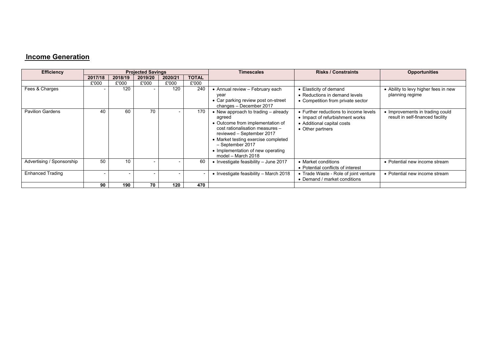# **Income Generation**

| <b>Efficiency</b>         | <b>Projected Savings</b> |         |                          |                          |                          | <b>Timescales</b>                                                                                                                                                                                                                                                         | <b>Risks / Constraints</b>                                                                                                 | <b>Opportunities</b>                                                |
|---------------------------|--------------------------|---------|--------------------------|--------------------------|--------------------------|---------------------------------------------------------------------------------------------------------------------------------------------------------------------------------------------------------------------------------------------------------------------------|----------------------------------------------------------------------------------------------------------------------------|---------------------------------------------------------------------|
|                           | 2017/18                  | 2018/19 | 2019/20                  | 2020/21                  | <b>TOTAL</b>             |                                                                                                                                                                                                                                                                           |                                                                                                                            |                                                                     |
|                           | £'000                    | £'000   | £'000                    | £'000                    | £'000                    |                                                                                                                                                                                                                                                                           |                                                                                                                            |                                                                     |
| Fees & Charges            |                          | 120     | $\overline{\phantom{0}}$ | 120                      | 240                      | • Annual review - February each<br>year<br>• Car parking review post on-street<br>changes - December 2017                                                                                                                                                                 | • Elasticity of demand<br>• Reductions in demand levels<br>• Competition from private sector                               | • Ability to levy higher fees in new<br>planning regime             |
| <b>Pavilion Gardens</b>   | 40                       | 60      | 70                       |                          | 170                      | • New approach to trading $-$ already<br>agreed<br>• Outcome from implementation of<br>cost rationalisation measures -<br>reviewed - September 2017<br>• Market testing exercise completed<br>- September 2017<br>• Implementation of new operating<br>model - March 2018 | • Further reductions to income levels<br>• Impact of refurbishment works<br>• Additional capital costs<br>• Other partners | • Improvements in trading could<br>result in self-financed facility |
| Advertising / Sponsorship | 50                       | 10      | $\overline{\phantom{0}}$ |                          | 60                       | Investigate feasibility - June 2017                                                                                                                                                                                                                                       | • Market conditions<br>• Potential conflicts of interest                                                                   | • Potential new income stream                                       |
| <b>Enhanced Trading</b>   |                          |         | $\overline{\phantom{0}}$ | $\overline{\phantom{a}}$ | $\overline{\phantom{0}}$ | • Investigate feasibility - March 2018                                                                                                                                                                                                                                    | • Trade Waste - Role of joint venture<br>• Demand / market conditions                                                      | • Potential new income stream                                       |
|                           | 90                       | 190     | 70                       | 120                      | 470                      |                                                                                                                                                                                                                                                                           |                                                                                                                            |                                                                     |